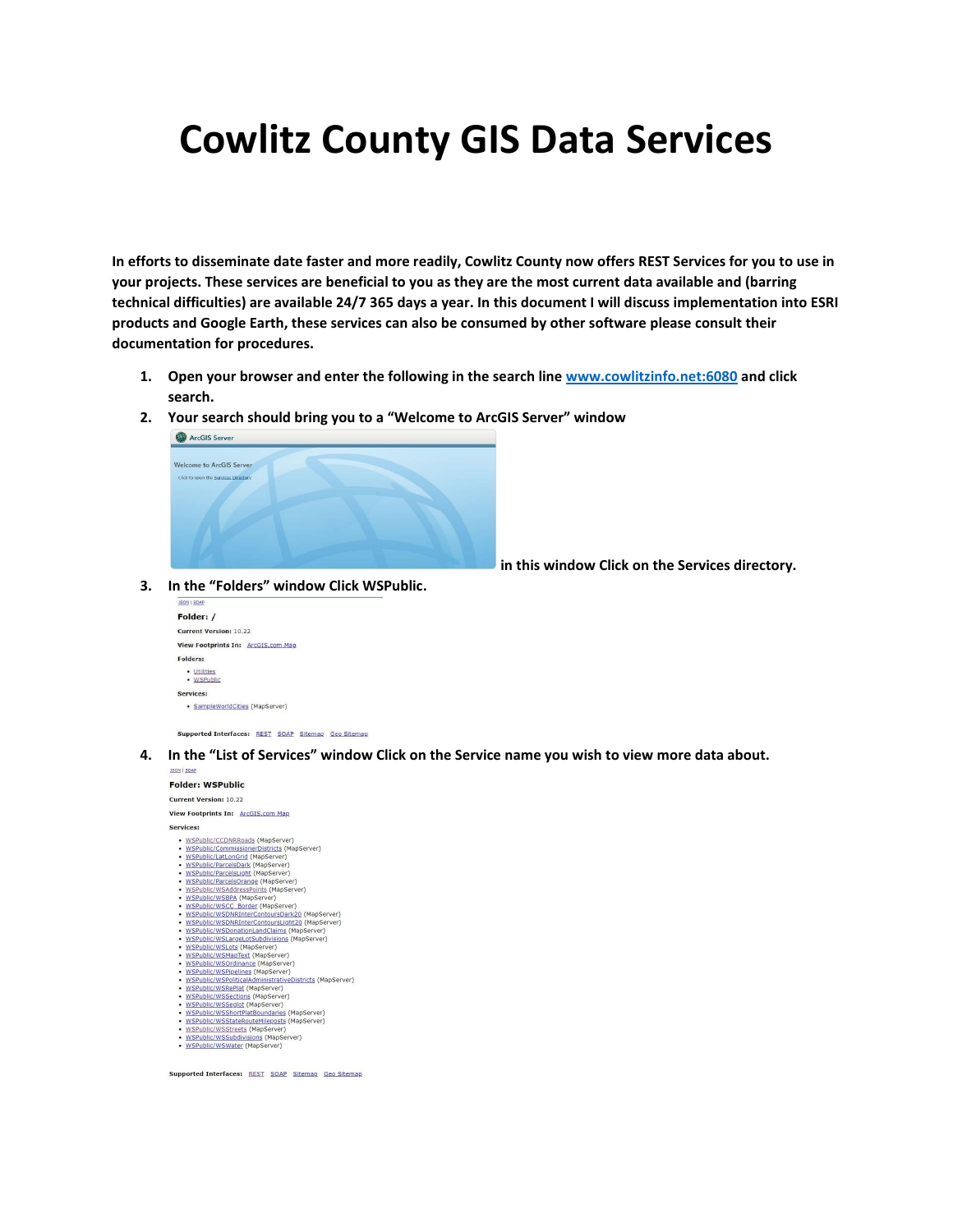## **Cowlitz County GIS Data Services**

**In efforts to disseminate date faster and more readily, Cowlitz County now offers REST Services for you to use in your projects. These services are beneficial to you as they are the most current data available and (barring technical difficulties) are available 24/7 365 days a year. In this document I will discuss implementation into ESRI products and Google Earth, these services can also be consumed by other software please consult their documentation for procedures.** 

- **1. Open your browser and enter the following in the search lin[e www.cowlitzinfo.net:6080](http://www.cowlitzinfo.net:6080/) and click search.**
- **2. Your search should bring you to a "Welcome to ArcGIS Server" window**



**in this window Click on the Services directory.**

**3. In the "Folders" window Click WSPublic.**



Supported Interfaces: REST SOAP Sitemap Geo Sitemap

**4. In the "List of Services" window Click on the Service name you wish to view more data about.**



Supported Interfaces: REST SOAP Sitemap Geo Sitemap